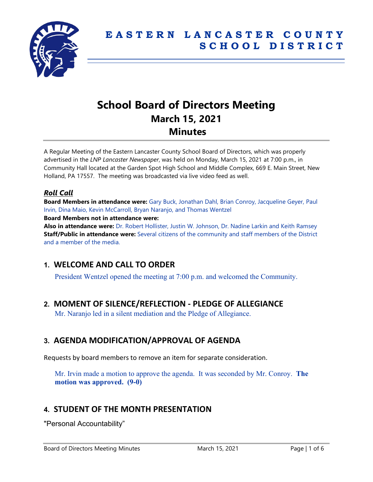

# **School Board of Directors Meeting March 15, 2021 Minutes**

A Regular Meeting of the Eastern Lancaster County School Board of Directors, which was properly advertised in the *LNP Lancaster Newspaper*, was held on Monday, March 15, 2021 at 7:00 p.m., in Community Hall located at the Garden Spot High School and Middle Complex, 669 E. Main Street, New Holland, PA 17557. The meeting was broadcasted via live video feed as well.

## *Roll Call*

**Board Members in attendance were:** Gary Buck, Jonathan Dahl, Brian Conroy, Jacqueline Geyer, Paul Irvin, Dina Maio, Kevin McCarroll, Bryan Naranjo, and Thomas Wentzel **Board Members not in attendance were:**

**Also in attendance were:** Dr. Robert Hollister, Justin W. Johnson, Dr. Nadine Larkin and Keith Ramsey **Staff/Public in attendance were:** Several citizens of the community and staff members of the District and a member of the media.

# **1. WELCOME AND CALL TO ORDER**

President Wentzel opened the meeting at 7:00 p.m. and welcomed the Community.

# **2. MOMENT OF SILENCE/REFLECTION - PLEDGE OF ALLEGIANCE**

Mr. Naranjo led in a silent mediation and the Pledge of Allegiance.

# **3. AGENDA MODIFICATION/APPROVAL OF AGENDA**

Requests by board members to remove an item for separate consideration.

Mr. Irvin made a motion to approve the agenda. It was seconded by Mr. Conroy. **The motion was approved. (9-0)** 

# **4. STUDENT OF THE MONTH PRESENTATION**

"Personal Accountability"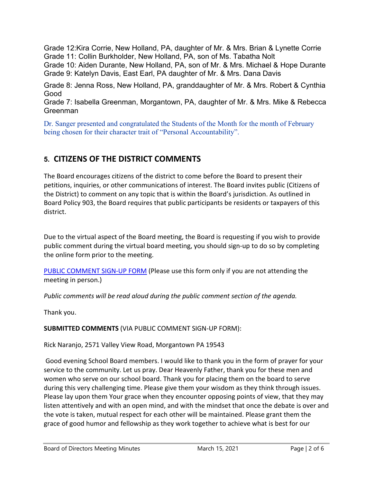Grade 12:Kira Corrie, New Holland, PA, daughter of Mr. & Mrs. Brian & Lynette Corrie Grade 11: Collin Burkholder, New Holland, PA, son of Ms. Tabatha Nolt

Grade 10: Aiden Durante, New Holland, PA, son of Mr. & Mrs. Michael & Hope Durante Grade 9: Katelyn Davis, East Earl, PA daughter of Mr. & Mrs. Dana Davis

Grade 8: Jenna Ross, New Holland, PA, granddaughter of Mr. & Mrs. Robert & Cynthia Good

Grade 7: Isabella Greenman, Morgantown, PA, daughter of Mr. & Mrs. Mike & Rebecca Greenman

Dr. Sanger presented and congratulated the Students of the Month for the month of February being chosen for their character trait of "Personal Accountability".

# **5. CITIZENS OF THE DISTRICT COMMENTS**

The Board encourages citizens of the district to come before the Board to present their petitions, inquiries, or other communications of interest. The Board invites public (Citizens of the District) to comment on any topic that is within the Board's jurisdiction. As outlined in Board Policy 903, the Board requires that public participants be residents or taxpayers of this district.

Due to the virtual aspect of the Board meeting, the Board is requesting if you wish to provide public comment during the virtual board meeting, you should sign-up to do so by completing the online form prior to the meeting.

[PUBLIC COMMENT SIGN-UP FORM](https://forms.gle/zDXXoX8rZQUxt1Ap6) (Please use this form only if you are not attending the meeting in person.)

*Public comments will be read aloud during the public comment section of the agenda.*

Thank you.

### **SUBMITTED COMMENTS** (VIA PUBLIC COMMENT SIGN-UP FORM):

Rick Naranjo, 2571 Valley View Road, Morgantown PA 19543

Good evening School Board members. I would like to thank you in the form of prayer for your service to the community. Let us pray. Dear Heavenly Father, thank you for these men and women who serve on our school board. Thank you for placing them on the board to serve during this very challenging time. Please give them your wisdom as they think through issues. Please lay upon them Your grace when they encounter opposing points of view, that they may listen attentively and with an open mind, and with the mindset that once the debate is over and the vote is taken, mutual respect for each other will be maintained. Please grant them the grace of good humor and fellowship as they work together to achieve what is best for our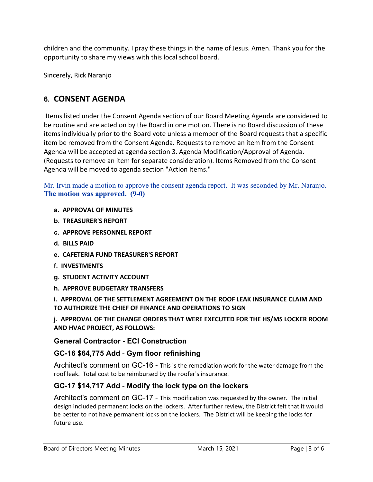children and the community. I pray these things in the name of Jesus. Amen. Thank you for the opportunity to share my views with this local school board.

Sincerely, Rick Naranjo

# **6. CONSENT AGENDA**

Items listed under the Consent Agenda section of our Board Meeting Agenda are considered to be routine and are acted on by the Board in one motion. There is no Board discussion of these items individually prior to the Board vote unless a member of the Board requests that a specific item be removed from the Consent Agenda. Requests to remove an item from the Consent Agenda will be accepted at agenda section 3. Agenda Modification/Approval of Agenda. (Requests to remove an item for separate consideration). Items Removed from the Consent Agenda will be moved to agenda section "Action Items."

Mr. Irvin made a motion to approve the consent agenda report. It was seconded by Mr. Naranjo. **The motion was approved. (9-0)**

- **a. APPROVAL OF MINUTES**
- **b. TREASURER'S REPORT**
- **c. APPROVE PERSONNEL REPORT**
- **d. BILLS PAID**
- **e. CAFETERIA FUND TREASURER'S REPORT**
- **f. INVESTMENTS**
- **g. STUDENT ACTIVITY ACCOUNT**
- **h. APPROVE BUDGETARY TRANSFERS**

**i. APPROVAL OF THE SETTLEMENT AGREEMENT ON THE ROOF LEAK INSURANCE CLAIM AND TO AUTHORIZE THE CHIEF OF FINANCE AND OPERATIONS TO SIGN**

**j. APPROVAL OF THE CHANGE ORDERS THAT WERE EXECUTED FOR THE HS/MS LOCKER ROOM AND HVAC PROJECT, AS FOLLOWS:**

**General Contractor - ECI Construction**

### **GC-16 \$64,775 Add** - **Gym floor refinishing**

Architect's comment on GC-16 - This is the remediation work for the water damage from the roof leak. Total cost to be reimbursed by the roofer's insurance.

# **GC-17 \$14,717 Add** - **Modify the lock type on the lockers**

Architect's comment on GC-17 - This modification was requested by the owner. The initial design included permanent locks on the lockers. After further review, the District felt that it would be better to not have permanent locks on the lockers. The District will be keeping the locks for future use.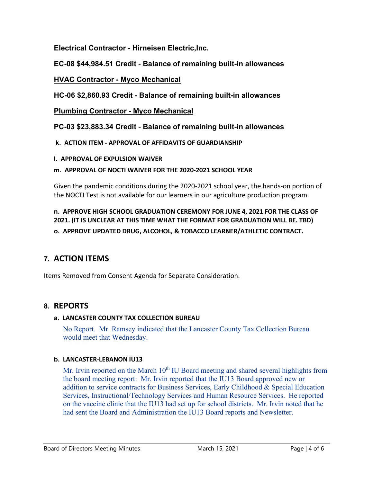**Electrical Contractor - Hirneisen Electric,Inc.**

**EC-08 \$44,984.51 Credit** - **Balance of remaining built-in allowances**

# **HVAC Contractor - Myco Mechanical**

**HC-06 \$2,860.93 Credit - Balance of remaining built-in allowances**

**Plumbing Contractor - Myco Mechanical**

**PC-03 \$23,883.34 Credit** - **Balance of remaining built-in allowances**

**k. ACTION ITEM - APPROVAL OF AFFIDAVITS OF GUARDIANSHIP**

**l. APPROVAL OF EXPULSION WAIVER**

#### **m. APPROVAL OF NOCTI WAIVER FOR THE 2020-2021 SCHOOL YEAR**

Given the pandemic conditions during the 2020-2021 school year, the hands-on portion of the NOCTI Test is not available for our learners in our agriculture production program.

# **n. APPROVE HIGH SCHOOL GRADUATION CEREMONY FOR JUNE 4, 2021 FOR THE CLASS OF 2021. (IT IS UNCLEAR AT THIS TIME WHAT THE FORMAT FOR GRADUATION WILL BE. TBD)**

**o. APPROVE UPDATED DRUG, ALCOHOL, & TOBACCO LEARNER/ATHLETIC CONTRACT.**

# **7. ACTION ITEMS**

Items Removed from Consent Agenda for Separate Consideration.

# **8. REPORTS**

### **a. LANCASTER COUNTY TAX COLLECTION BUREAU**

No Report. Mr. Ramsey indicated that the Lancaster County Tax Collection Bureau would meet that Wednesday.

### **b. LANCASTER-LEBANON IU13**

Mr. Irvin reported on the March  $10<sup>th</sup>$  IU Board meeting and shared several highlights from the board meeting report: Mr. Irvin reported that the IU13 Board approved new or addition to service contracts for Business Services, Early Childhood & Special Education Services, Instructional/Technology Services and Human Resource Services. He reported on the vaccine clinic that the IU13 had set up for school districts. Mr. Irvin noted that he had sent the Board and Administration the IU13 Board reports and Newsletter.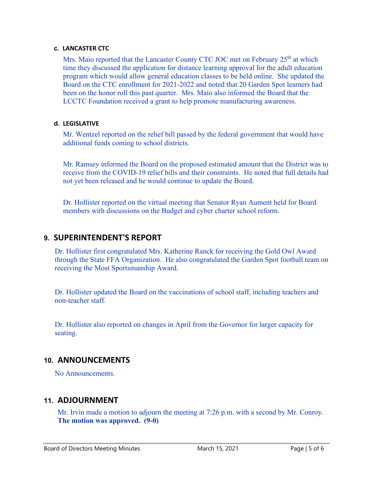#### **c. LANCASTER CTC**

Mrs. Maio reported that the Lancaster County CTC JOC met on February 25<sup>th</sup> at which time they discussed the application for distance learning approval for the adult education program which would allow general education classes to be held online. She updated the Board on the CTC enrollment for 2021-2022 and noted that 20 Garden Spot learners had been on the honor roll this past quarter. Mrs. Maio also informed the Board that the LCCTC Foundation received a grant to help promote manufacturing awareness.

#### **d. LEGISLATIVE**

Mr. Wentzel reported on the relief bill passed by the federal government that would have additional funds coming to school districts.

Mr. Ramsey informed the Board on the proposed estimated amount that the District was to receive from the COVID-19 relief bills and their constraints. He noted that full details had not yet been released and he would continue to update the Board.

Dr. Hollister reported on the virtual meeting that Senator Ryan Aument held for Board members with discussions on the Budget and cyber charter school reform.

#### **9. SUPERINTENDENT'S REPORT**

Dr. Hollister first congratulated Mrs. Katherine Ranck for receiving the Gold Owl Award through the State FFA Organization. He also congratulated the Garden Spot football team on receiving the Most Sportsmanship Award.

Dr. Hollister updated the Board on the vaccinations of school staff, including teachers and non-teacher staff.

Dr. Hollister also reported on changes in April from the Governor for larger capacity for seating.

### **10. ANNOUNCEMENTS**

No Announcements.

### **11. ADJOURNMENT**

Mr. Irvin made a motion to adjourn the meeting at 7:26 p.m. with a second by Mr. Conroy. **The motion was approved. (9-0)**